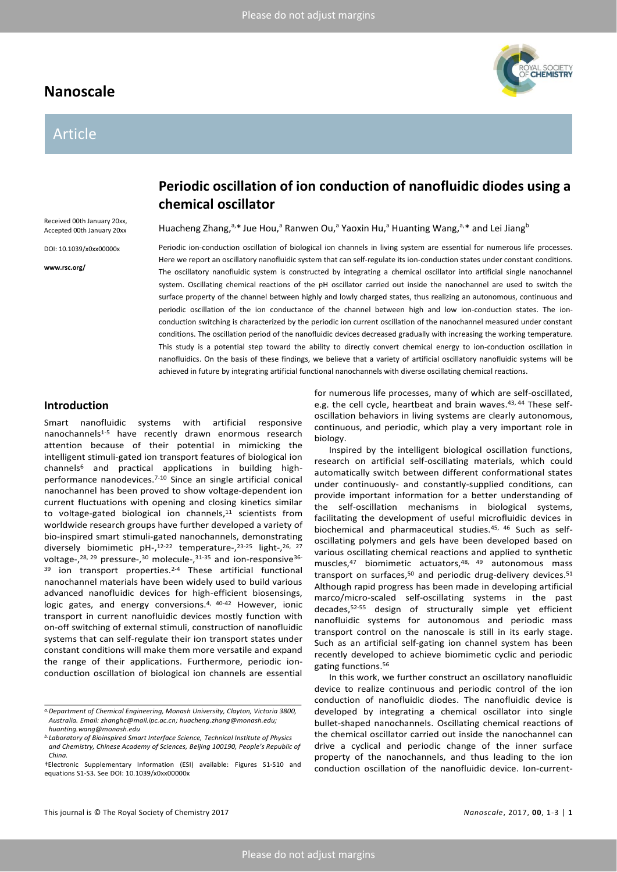# **Nanoscale**

# Article



Received 00th January 20xx, Accepted 00th January 20xx

DOI: 10.1039/x0xx00000x

**www.rsc.org/**

# **Periodic oscillation of ion conduction of nanofluidic diodes using a chemical oscillator**

Huacheng Zhang,<sup>a,\*</sup> Jue Hou,<sup>a</sup> Ranwen Ou,<sup>a</sup> Yaoxin Hu,<sup>a</sup> Huanting Wang,<sup>a,\*</sup> and Lei Jiang<sup>b</sup>

Periodic ion-conduction oscillation of biological ion channels in living system are essential for numerous life processes. Here we report an oscillatory nanofluidic system that can self-regulate its ion-conduction states under constant conditions. The oscillatory nanofluidic system is constructed by integrating a chemical oscillator into artificial single nanochannel system. Oscillating chemical reactions of the pH oscillator carried out inside the nanochannel are used to switch the surface property of the channel between highly and lowly charged states, thus realizing an autonomous, continuous and periodic oscillation of the ion conductance of the channel between high and low ion-conduction states. The ionconduction switching is characterized by the periodic ion current oscillation of the nanochannel measured under constant conditions. The oscillation period of the nanofluidic devices decreased gradually with increasing the working temperature. This study is a potential step toward the ability to directly convert chemical energy to ion-conduction oscillation in nanofluidics. On the basis of these findings, we believe that a variety of artificial oscillatory nanofluidic systems will be achieved in future by integrating artificial functional nanochannels with diverse oscillating chemical reactions.

# **Introduction**

Smart nanofluidic systems with artificial responsive nanochannels<sup>[1-5](#page-5-0)</sup> have recently drawn enormous research attention because of their potential in mimicking the intelligent stimuli-gated ion transport features of biological ion channel[s](#page-5-1)<sup>6</sup> and practical applications in building highperformance nanodevices.[7-10](#page-5-2) Since an single artificial conical nanochannel has been proved to show voltage-dependent ion current fluctuations with opening and closing kinetics similar to voltage-gated biological ion channels, [11](#page-5-3) scientists from worldwide research groups have further developed a variety of bio-inspired smart stimuli-gated nanochannels, demonstrating diversely biomimetic pH-,<sup>[12-22](#page-5-4)</sup> temperature-,<sup>[23-25](#page-5-5)</sup> light-,<sup>[26,](#page-5-6) [27](#page-5-7)</sup> voltage-,<sup>[28,](#page-5-8) [29](#page-5-9)</sup> pressure-,<sup>[30](#page-5-10)</sup> molecule-,<sup>[31-35](#page-5-11)</sup> and ion-responsive<sup>[36-](#page-6-0)</sup> <sup>39</sup> ion transport properties.[2-4](#page-5-12) These artificial functional nanochannel materials have been widely used to build various advanced nanofluidic devices for high-efficient biosensings, logic gates, and energy conversions.<sup>[4,](#page-5-13) [40-42](#page-6-1)</sup> However, ionic transport in current nanofluidic devices mostly function with on-off switching of external stimuli, construction of nanofluidic systems that can self-regulate their ion transport states under constant conditions will make them more versatile and expand the range of their applications. Furthermore, periodic ionconduction oscillation of biological ion channels are essential

for numerous life processes, many of which are self-oscillated, e.g. the cell cycle, heartbeat and brain waves. [43,](#page-6-2) [44](#page-6-3) These selfoscillation behaviors in living systems are clearly autonomous, continuous, and periodic, which play a very important role in biology.

Inspired by the intelligent biological oscillation functions, research on artificial self-oscillating materials, which could automatically switch between different conformational states under continuously- and constantly-supplied conditions, can provide important information for a better understanding of the self-oscillation mechanisms in biological systems, facilitating the development of useful microfluidic devices in biochemical and pharmaceutical studies.<sup>[45,](#page-6-4) [46](#page-6-5)</sup> Such as selfoscillating polymers and gels have been developed based on various oscillating chemical reactions and applied to synthetic muscles,<sup>[47](#page-6-6)</sup> biomimetic actuators,<sup>[48,](#page-6-7) [49](#page-6-8)</sup> autonomous mass transport on surfaces,<sup>[50](#page-6-9)</sup> and periodic drug-delivery devices.<sup>[51](#page-6-10)</sup> Although rapid progress has been made in developing artificial marco/micro-scaled self-oscillating systems in the past decades,[52-55](#page-6-11) design of structurally simple yet efficient nanofluidic systems for autonomous and periodic mass transport control on the nanoscale is still in its early stage. Such as an artificial self-gating ion channel system has been recently developed to achieve biomimetic cyclic and periodic gating functions.[56](#page-6-12)

In this work, we further construct an oscillatory nanofluidic device to realize continuous and periodic control of the ion conduction of nanofluidic diodes. The nanofluidic device is developed by integrating a chemical oscillator into single bullet-shaped nanochannels. Oscillating chemical reactions of the chemical oscillator carried out inside the nanochannel can drive a cyclical and periodic change of the inner surface property of the nanochannels, and thus leading to the ion conduction oscillation of the nanofluidic device. Ion-current-

*a.Department of Chemical Engineering, Monash University, Clayton, Victoria 3800, Australia. Email: zhanghc@mail.ipc.ac.cn; huacheng.zhang@monash.edu; huanting.wang@monash.edu*

*b.Laboratory of Bioinspired Smart Interface Science, Technical Institute of Physics and Chemistry, Chinese Academy of Sciences, Beijing 100190, People's Republic of China.*

<sup>†</sup>Electronic Supplementary Information (ESI) available: Figures S1-S10 and equations S1-S3. See DOI: 10.1039/x0xx00000x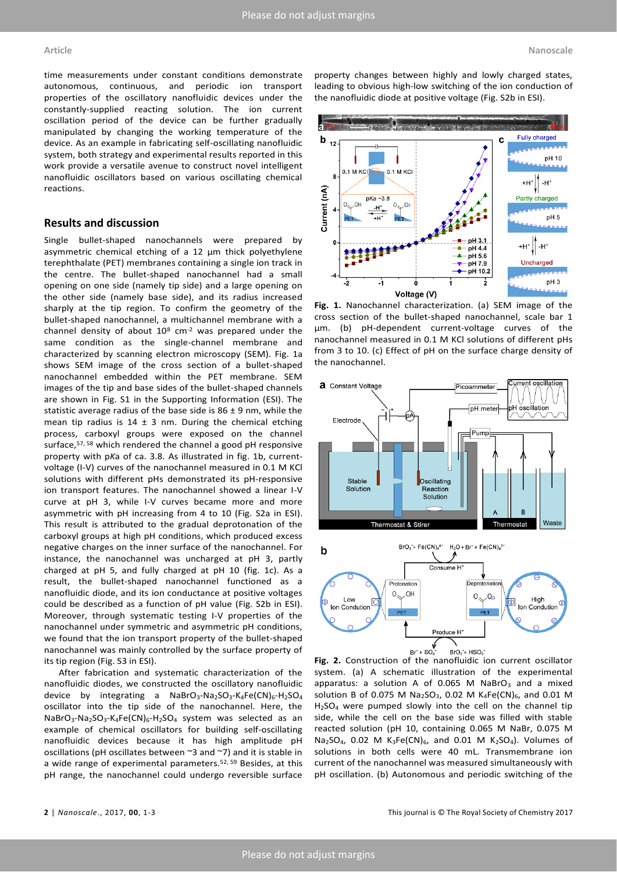time measurements under constant conditions demonstrate autonomous, continuous, and periodic ion transport properties of the oscillatory nanofluidic devices under the constantly-supplied reacting solution. The ion current oscillation period of the device can be further gradually manipulated by changing the working temperature of the device. As an example in fabricating self-oscillating nanofluidic system, both strategy and experimental results reported in this work provide a versatile avenue to construct novel intelligent nanofluidic oscillators based on various oscillating chemical reactions.

## **Results and discussion**

Single bullet-shaped nanochannels were prepared by asymmetric chemical etching of a 12 μm thick polyethylene terephthalate (PET) membranes containing a single ion track in the centre. The bullet-shaped nanochannel had a small opening on one side (namely tip side) and a large opening on the other side (namely base side), and its radius increased sharply at the tip region. To confirm the geometry of the bullet-shaped nanochannel, a multichannel membrane with a channel density of about  $10^8$  cm<sup>-2</sup> was prepared under the same condition as the single-channel membrane and characterized by scanning electron microscopy (SEM). Fig. 1a shows SEM image of the cross section of a bullet-shaped nanochannel embedded within the PET membrane. SEM images of the tip and base sides of the bullet-shaped channels are shown in Fig. S1 in the Supporting Information (ESI). The statistic average radius of the base side is  $86 \pm 9$  nm, while the mean tip radius is  $14 \pm 3$  nm. During the chemical etching process, carboxyl groups were exposed on the channel surface,<sup>[57,](#page-6-13) [58](#page-6-14)</sup> which rendered the channel a good pH responsive property with p*K*a of ca. 3.8. As illustrated in fig. 1b, currentvoltage (I-V) curves of the nanochannel measured in 0.1 M KCl solutions with different pHs demonstrated its pH-responsive ion transport features. The nanochannel showed a linear I-V curve at pH 3, while I-V curves became more and more asymmetric with pH increasing from 4 to 10 (Fig. S2a in ESI). This result is attributed to the gradual deprotonation of the carboxyl groups at high pH conditions, which produced excess negative charges on the inner surface of the nanochannel. For instance, the nanochannel was uncharged at pH 3, partly charged at pH 5, and fully charged at pH 10 (fig. 1c). As a result, the bullet-shaped nanochannel functioned as a nanofluidic diode, and its ion conductance at positive voltages could be described as a function of pH value (Fig. S2b in ESI). Moreover, through systematic testing I-V properties of the nanochannel under symmetric and asymmetric pH conditions, we found that the ion transport property of the bullet-shaped nanochannel was mainly controlled by the surface property of its tip region (Fig. S3 in ESI).

After fabrication and systematic characterization of the nanofluidic diodes, we constructed the oscillatory nanofluidic device by integrating a NaBrO<sub>3</sub>-Na<sub>2</sub>SO<sub>3</sub>-K<sub>4</sub>Fe(CN)<sub>6</sub>-H<sub>2</sub>SO<sub>4</sub> oscillator into the tip side of the nanochannel. Here, the  $NaBrO<sub>3</sub>-Na<sub>2</sub>SO<sub>3</sub>-K<sub>4</sub>Fe(CN)<sub>6</sub>-H<sub>2</sub>SO<sub>4</sub>$  system was selected as an example of chemical oscillators for building self-oscillating nanofluidic devices because it has high amplitude pH oscillations (pH oscillates between ~3 and ~7) and it is stable in a wide range of experimental parameters.<sup>[52,](#page-6-11) [59](#page-6-15)</sup> Besides, at this pH range, the nanochannel could undergo reversible surface

property changes between highly and lowly charged states, leading to obvious high-low switching of the ion conduction of the nanofluidic diode at positive voltage (Fig. S2b in ESI).



**Fig. 1.** Nanochannel characterization. (a) SEM image of the cross section of the bullet-shaped nanochannel, scale bar 1 μm. (b) pH-dependent current-voltage curves of the nanochannel measured in 0.1 M KCl solutions of different pHs from 3 to 10. (c) Effect of pH on the surface charge density of the nanochannel.





system. (a) A schematic illustration of the experimental apparatus: a solution A of 0.065 M NaBrO<sub>3</sub> and a mixed solution B of 0.075 M Na<sub>2</sub>SO<sub>3</sub>, 0.02 M K<sub>4</sub>Fe(CN)<sub>6</sub>, and 0.01 M  $H<sub>2</sub>SO<sub>4</sub>$  were pumped slowly into the cell on the channel tip side, while the cell on the base side was filled with stable reacted solution (pH 10, containing 0.065 M NaBr, 0.075 M Na<sub>2</sub>SO<sub>4</sub>, 0.02 M K<sub>3</sub>Fe(CN)<sub>6</sub>, and 0.01 M K<sub>2</sub>SO<sub>4</sub>). Volumes of solutions in both cells were 40 mL. Transmembrane ion current of the nanochannel was measured simultaneously with pH oscillation. (b) Autonomous and periodic switching of the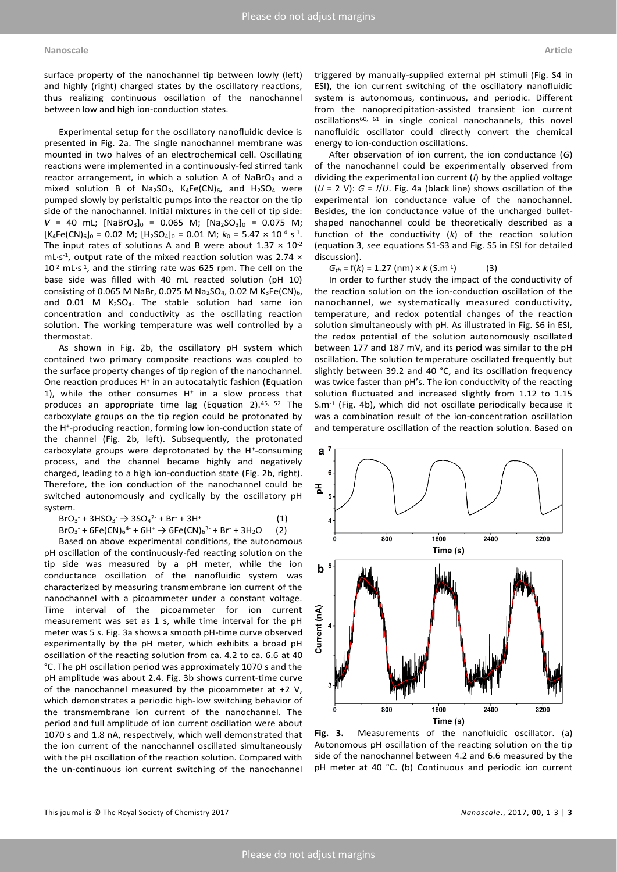surface property of the nanochannel tip between lowly (left) and highly (right) charged states by the oscillatory reactions, thus realizing continuous oscillation of the nanochannel between low and high ion-conduction states.

Experimental setup for the oscillatory nanofluidic device is presented in Fig. 2a. The single nanochannel membrane was mounted in two halves of an electrochemical cell. Oscillating reactions were implemented in a continuously-fed stirred tank reactor arrangement, in which a solution A of NaBrO<sub>3</sub> and a mixed solution B of  $Na<sub>2</sub>SO<sub>3</sub>$ ,  $K<sub>4</sub>Fe(CN)<sub>6</sub>$ , and  $H<sub>2</sub>SO<sub>4</sub>$  were pumped slowly by peristaltic pumps into the reactor on the tip side of the nanochannel. Initial mixtures in the cell of tip side:  $V = 40$  mL;  $[NaBrO<sub>3</sub>]<sub>0</sub> = 0.065$  M;  $[Na<sub>2</sub>SO<sub>3</sub>]<sub>0</sub> = 0.075$  M;  $[K_4Fe(CN)_6]_0 = 0.02 M$ ;  $[H_2SO_4]_0 = 0.01 M$ ;  $k_0 = 5.47 \times 10^{-4} S^{-1}$ . The input rates of solutions A and B were about  $1.37 \times 10^{-2}$ mL $\cdot$ s<sup>-1</sup>, output rate of the mixed reaction solution was 2.74  $\times$  $10^{-2}$  mL $\cdot$ s<sup>-1</sup>, and the stirring rate was 625 rpm. The cell on the base side was filled with 40 mL reacted solution (pH 10) consisting of 0.065 M NaBr, 0.075 M Na<sub>2</sub>SO<sub>4</sub>, 0.02 M K<sub>3</sub>Fe(CN)<sub>6</sub>, and  $0.01$  M K<sub>2</sub>SO<sub>4</sub>. The stable solution had same ion concentration and conductivity as the oscillating reaction solution. The working temperature was well controlled by a thermostat.

As shown in Fig. 2b, the oscillatory pH system which contained two primary composite reactions was coupled to the surface property changes of tip region of the nanochannel. One reaction produces H<sup>+</sup> in an autocatalytic fashion (Equation 1), while the other consumes  $H^+$  in a slow process that produces an appropriate time lag (Equation 2).[45,](#page-6-4) [52](#page-6-11) The carboxylate groups on the tip region could be protonated by the H<sup>+</sup> -producing reaction, forming low ion-conduction state of the channel (Fig. 2b, left). Subsequently, the protonated carboxylate groups were deprotonated by the H<sup>+</sup>-consuming process, and the channel became highly and negatively charged, leading to a high ion-conduction state (Fig. 2b, right). Therefore, the ion conduction of the nanochannel could be switched autonomously and cyclically by the oscillatory pH system.

 $Bro<sub>3</sub> + 3HSO<sub>3</sub> + 3SO<sub>4</sub><sup>2-</sup> + Br + 3H<sup>+</sup>$  (1)  $BrO_3$  + 6Fe(CN)<sub>6</sub><sup>4</sup> + 6H<sup>+</sup>  $\rightarrow$  6Fe(CN)<sub>6</sub><sup>3</sup> + Br + 3H<sub>2</sub>O (2)

Based on above experimental conditions, the autonomous pH oscillation of the continuously-fed reacting solution on the tip side was measured by a pH meter, while the ion conductance oscillation of the nanofluidic system was characterized by measuring transmembrane ion current of the nanochannel with a picoammeter under a constant voltage. Time interval of the picoammeter for ion current measurement was set as 1 s, while time interval for the pH meter was 5 s. Fig. 3a shows a smooth pH-time curve observed experimentally by the pH meter, which exhibits a broad pH oscillation of the reacting solution from ca. 4.2 to ca. 6.6 at 40 °C. The pH oscillation period was approximately 1070 s and the pH amplitude was about 2.4. Fig. 3b shows current-time curve of the nanochannel measured by the picoammeter at +2 V, which demonstrates a periodic high-low switching behavior of the transmembrane ion current of the nanochannel. The period and full amplitude of ion current oscillation were about 1070 s and 1.8 nA, respectively, which well demonstrated that the ion current of the nanochannel oscillated simultaneously with the pH oscillation of the reaction solution. Compared with the un-continuous ion current switching of the nanochannel

triggered by manually-supplied external pH stimuli (Fig. S4 in ESI), the ion current switching of the oscillatory nanofluidic system is autonomous, continuous, and periodic. Different from the nanoprecipitation-assisted transient ion current oscillations<sup>[60,](#page-6-16) [61](#page-6-17)</sup> in single conical nanochannels, this novel nanofluidic oscillator could directly convert the chemical energy to ion-conduction oscillations.

After observation of ion current, the ion conductance (*G*) of the nanochannel could be experimentally observed from dividing the experimental ion current (*I*) by the applied voltage (*U* = 2 V): *G* = *I*/*U*. Fig. 4a (black line) shows oscillation of the experimental ion conductance value of the nanochannel. Besides, the ion conductance value of the uncharged bulletshaped nanochannel could be theoretically described as a function of the conductivity (*k*) of the reaction solution (equation 3, see equations S1-S3 and Fig. S5 in ESI for detailed discussion).

 $G_{th} = f(k) = 1.27$  (nm) × *k* (S.m<sup>-1</sup>) ) (3)

In order to further study the impact of the conductivity of the reaction solution on the ion-conduction oscillation of the nanochannel, we systematically measured conductivity, temperature, and redox potential changes of the reaction solution simultaneously with pH. As illustrated in Fig. S6 in ESI, the redox potential of the solution autonomously oscillated between 177 and 187 mV, and its period was similar to the pH oscillation. The solution temperature oscillated frequently but slightly between 39.2 and 40 °C, and its oscillation frequency was twice faster than pH's. The ion conductivity of the reacting solution fluctuated and increased slightly from 1.12 to 1.15 S.m-1 (Fig. 4b), which did not oscillate periodically because it was a combination result of the ion-concentration oscillation and temperature oscillation of the reaction solution. Based on



**Fig. 3.** Measurements of the nanofluidic oscillator. (a) Autonomous pH oscillation of the reacting solution on the tip side of the nanochannel between 4.2 and 6.6 measured by the pH meter at 40 °C. (b) Continuous and periodic ion current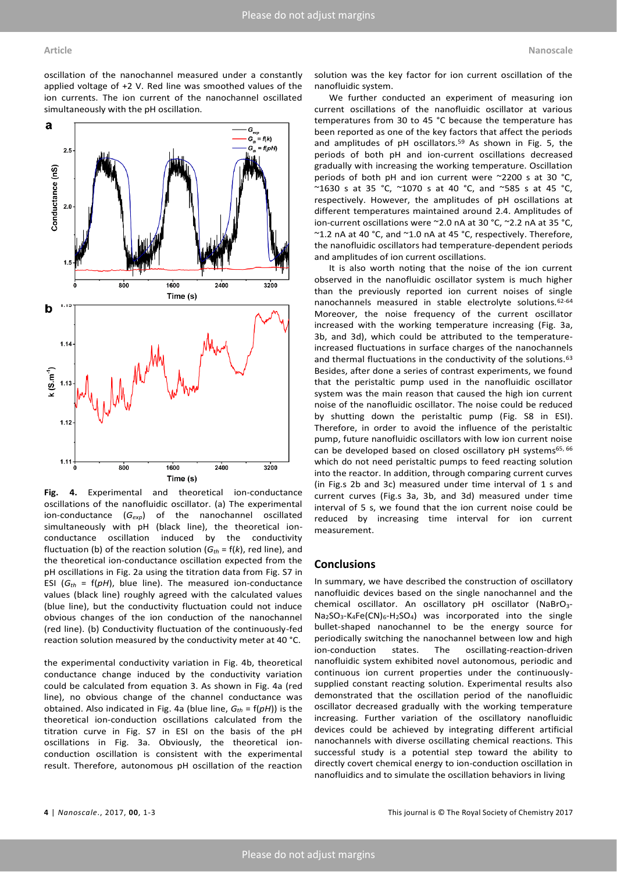oscillation of the nanochannel measured under a constantly applied voltage of +2 V. Red line was smoothed values of the ion currents. The ion current of the nanochannel oscillated simultaneously with the pH oscillation.



**Fig. 4.** Experimental and theoretical ion-conductance oscillations of the nanofluidic oscillator. (a) The experimental ion-conductance (*Gexp*) of the nanochannel oscillated simultaneously with pH (black line), the theoretical ionconductance oscillation induced by the conductivity fluctuation (b) of the reaction solution  $(G<sub>th</sub> = f(k))$ , red line), and the theoretical ion-conductance oscillation expected from the pH oscillations in Fig. 2a using the titration data from Fig. S7 in ESI  $(G<sub>th</sub> = f(pH)$ , blue line). The measured ion-conductance values (black line) roughly agreed with the calculated values (blue line), but the conductivity fluctuation could not induce obvious changes of the ion conduction of the nanochannel (red line). (b) Conductivity fluctuation of the continuously-fed reaction solution measured by the conductivity meter at 40 °C.

the experimental conductivity variation in Fig. 4b, theoretical conductance change induced by the conductivity variation could be calculated from equation 3. As shown in Fig. 4a (red line), no obvious change of the channel conductance was obtained. Also indicated in Fig. 4a (blue line,  $G_{th} = f(pH)$ ) is the theoretical ion-conduction oscillations calculated from the titration curve in Fig. S7 in ESI on the basis of the pH oscillations in Fig. 3a. Obviously, the theoretical ionconduction oscillation is consistent with the experimental result. Therefore, autonomous pH oscillation of the reaction

solution was the key factor for ion current oscillation of the nanofluidic system.

We further conducted an experiment of measuring ion current oscillations of the nanofluidic oscillator at various temperatures from 30 to 45 °C because the temperature has been reported as one of the key factors that affect the periods and amplitudes of pH oscillators.<sup>[59](#page-6-15)</sup> As shown in Fig. 5, the periods of both pH and ion-current oscillations decreased gradually with increasing the working temperature. Oscillation periods of both pH and ion current were ~2200 s at 30 °C, ~1630 s at 35 °C, ~1070 s at 40 °C, and ~585 s at 45 °C, respectively. However, the amplitudes of pH oscillations at different temperatures maintained around 2.4. Amplitudes of ion-current oscillations were ~2.0 nA at 30 °C, ~2.2 nA at 35 °C, ~1.2 nA at 40 °C, and ~1.0 nA at 45 °C, respectively. Therefore, the nanofluidic oscillators had temperature-dependent periods and amplitudes of ion current oscillations.

It is also worth noting that the noise of the ion current observed in the nanofluidic oscillator system is much higher than the previously reported ion current noises of single nanochannels measured in stable electrolyte solutions.[62-64](#page-6-18) Moreover, the noise frequency of the current oscillator increased with the working temperature increasing (Fig. 3a, 3b, and 3d), which could be attributed to the temperatureincreased fluctuations in surface charges of the nanochannels and thermal fluctuations in the conductivity of the solutions.<sup>[63](#page-6-19)</sup> Besides, after done a series of contrast experiments, we found that the peristaltic pump used in the nanofluidic oscillator system was the main reason that caused the high ion current noise of the nanofluidic oscillator. The noise could be reduced by shutting down the peristaltic pump (Fig. S8 in ESI). Therefore, in order to avoid the influence of the peristaltic pump, future nanofluidic oscillators with low ion current noise can be developed based on closed oscillatory pH systems<sup>[65,](#page-6-20) [66](#page-6-21)</sup> which do not need peristaltic pumps to feed reacting solution into the reactor. In addition, through comparing current curves (in Fig.s 2b and 3c) measured under time interval of 1 s and current curves (Fig.s 3a, 3b, and 3d) measured under time interval of 5 s, we found that the ion current noise could be reduced by increasing time interval for ion current measurement.

## **Conclusions**

In summary, we have described the construction of oscillatory nanofluidic devices based on the single nanochannel and the chemical oscillator. An oscillatory pH oscillator (NaBrO<sub>3</sub>-Na<sub>2</sub>SO<sub>3</sub>-K<sub>4</sub>Fe(CN)<sub>6</sub>-H<sub>2</sub>SO<sub>4</sub>) was incorporated into the single bullet-shaped nanochannel to be the energy source for periodically switching the nanochannel between low and high ion-conduction states. The oscillating-reaction-driven nanofluidic system exhibited novel autonomous, periodic and continuous ion current properties under the continuouslysupplied constant reacting solution. Experimental results also demonstrated that the oscillation period of the nanofluidic oscillator decreased gradually with the working temperature increasing. Further variation of the oscillatory nanofluidic devices could be achieved by integrating different artificial nanochannels with diverse oscillating chemical reactions. This successful study is a potential step toward the ability to directly covert chemical energy to ion-conduction oscillation in nanofluidics and to simulate the oscillation behaviors in living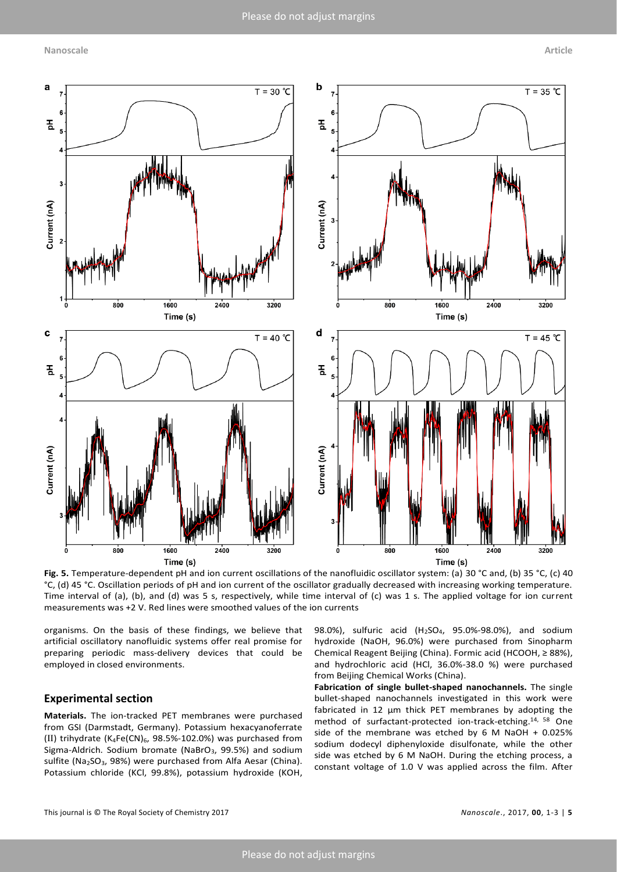

**Fig. 5.** Temperature-dependent pH and ion current oscillations of the nanofluidic oscillator system: (a) 30 °C and, (b) 35 °C, (c) 40 °C, (d) 45 °C. Oscillation periods of pH and ion current of the oscillator gradually decreased with increasing working temperature. Time interval of (a), (b), and (d) was 5 s, respectively, while time interval of (c) was 1 s. The applied voltage for ion current measurements was +2 V. Red lines were smoothed values of the ion currents

organisms. On the basis of these findings, we believe that artificial oscillatory nanofluidic systems offer real promise for preparing periodic mass-delivery devices that could be employed in closed environments.

## **Experimental section**

**Materials.** The ion-tracked PET membranes were purchased from GSI (Darmstadt, Germany). Potassium hexacyanoferrate (Ⅱ) trihydrate (K4Fe(CN)6, 98.5%-102.0%) was purchased from Sigma-Aldrich. Sodium bromate (NaBrO $_3$ , 99.5%) and sodium sulfite (Na<sub>2</sub>SO<sub>3</sub>, 98%) were purchased from Alfa Aesar (China). Potassium chloride (KCl, 99.8%), potassium hydroxide (KOH,

98.0%), sulfuric acid (H<sub>2</sub>SO<sub>4</sub>, 95.0%-98.0%), and sodium hydroxide (NaOH, 96.0%) were purchased from Sinopharm Chemical Reagent Beijing (China). Formic acid (HCOOH, ≥ 88%), and hydrochloric acid (HCl, 36.0%-38.0 %) were purchased from Beijing Chemical Works (China).

**Fabrication of single bullet-shaped nanochannels.** The single bullet-shaped nanochannels investigated in this work were fabricated in 12 µm thick PET membranes by adopting the method of surfactant-protected ion-track-etching. [14,](#page-5-14) [58](#page-6-14) One side of the membrane was etched by  $6$  M NaOH + 0.025% sodium dodecyl diphenyloxide disulfonate, while the other side was etched by 6 M NaOH. During the etching process, a constant voltage of 1.0 V was applied across the film. After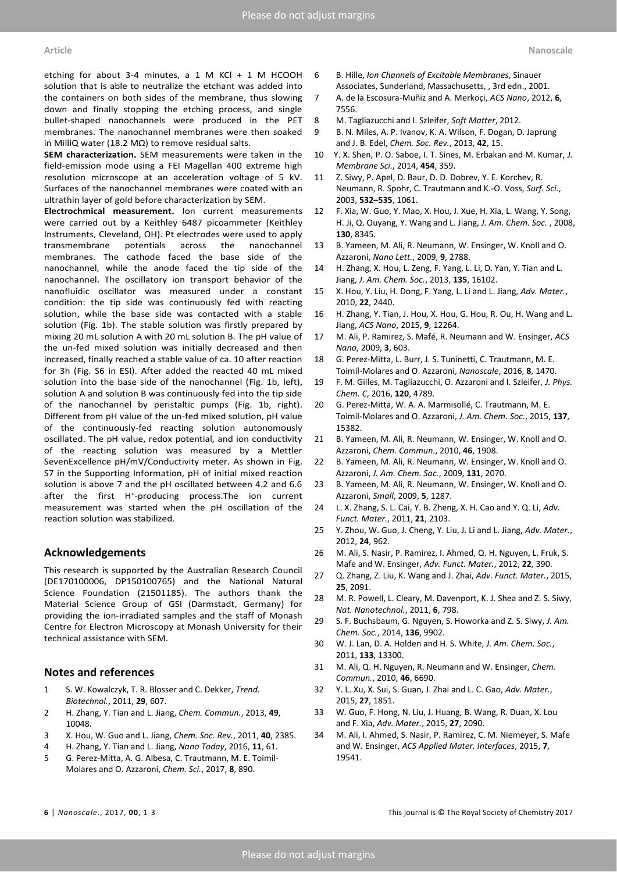etching for about 3-4 minutes, a 1 M KCl + 1 M HCOOH solution that is able to neutralize the etchant was added into the containers on both sides of the membrane, thus slowing down and finally stopping the etching process, and single bullet-shaped nanochannels were produced in the PET membranes. The nanochannel membranes were then soaked in MilliQ water (18.2 MΩ) to remove residual salts.

**SEM characterization.** SEM measurements were taken in the field-emission mode using a FEI Magellan 400 extreme high resolution microscope at an acceleration voltage of 5 kV. Surfaces of the nanochannel membranes were coated with an ultrathin layer of gold before characterization by SEM.

**Electrochmical measurement.** Ion current measurements were carried out by a Keithley 6487 picoammeter (Keithley Instruments, Cleveland, OH). Pt electrodes were used to apply transmembrane potentials across the nanochannel membranes. The cathode faced the base side of the nanochannel, while the anode faced the tip side of the nanochannel. The oscillatory ion transport behavior of the nanofluidic oscillator was measured under a constant condition: the tip side was continuously fed with reacting solution, while the base side was contacted with a stable solution (Fig. 1b). The stable solution was firstly prepared by mixing 20 mL solution A with 20 mL solution B. The pH value of the un-fed mixed solution was initially decreased and then increased, finally reached a stable value of ca. 10 after reaction for 3h (Fig. S6 in ESI). After added the reacted 40 mL mixed solution into the base side of the nanochannel (Fig. 1b, left), solution A and solution B was continuously fed into the tip side of the nanochannel by peristaltic pumps (Fig. 1b, right). Different from pH value of the un-fed mixed solution, pH value of the continuously-fed reacting solution autonomously oscillated. The pH value, redox potential, and ion conductivity of the reacting solution was measured by a Mettler SevenExcellence pH/mV/Conductivity meter. As shown in Fig. S7 in the Supporting Information, pH of initial mixed reaction solution is above 7 and the pH oscillated between 4.2 and 6.6 after the first H<sup>+</sup> -producing process.The ion current measurement was started when the pH oscillation of the reaction solution was stabilized.

### **Acknowledgements**

This research is supported by the Australian Research Council (DE170100006, DP150100765) and the National Natural Science Foundation (21501185). The authors thank the Material Science Group of GSI (Darmstadt, Germany) for providing the ion-irradiated samples and the staff of Monash Centre for Electron Microscopy at Monash University for their technical assistance with SEM.

### **Notes and references**

- <span id="page-5-0"></span>1 S. W. Kowalczyk, T. R. Blosser and C. Dekker, *Trend. Biotechnol.*, 2011, **29**, 607.
- <span id="page-5-12"></span>2 H. Zhang, Y. Tian and L. Jiang, *Chem. Commun.*, 2013, **49**, 10048.
- 3 X. Hou, W. Guo and L. Jiang, *Chem. Soc. Rev.*, 2011, **40**, 2385.
- <span id="page-5-13"></span>4 H. Zhang, Y. Tian and L. Jiang, *Nano Today*, 2016, **11**, 61.
- 5 G. Perez-Mitta, A. G. Albesa, C. Trautmann, M. E. Toimil-Molares and O. Azzaroni, *Chem. Sci.*, 2017, **8**, 890.
- <span id="page-5-1"></span>6 B. Hille, *Ion Channels of Excitable Membranes*, Sinauer Associates, Sunderland, Massachusetts, , 3rd edn., 2001.
- <span id="page-5-2"></span>7 A. de la Escosura-Muñiz and A. Merkoçi, *ACS Nano*, 2012, **6**, 7556.
- 8 M. Tagliazucchi and I. Szleifer, *Soft Matter*, 2012.
- 9 B. N. Miles, A. P. Ivanov, K. A. Wilson, F. Dogan, D. Japrung and J. B. Edel, *Chem. Soc. Rev.*, 2013, **42**, 15.
- 10 Y. X. Shen, P. O. Saboe, I. T. Sines, M. Erbakan and M. Kumar, *J. Membrane Sci.*, 2014, **454**, 359.
- <span id="page-5-3"></span>11 Z. Siwy, P. Apel, D. Baur, D. D. Dobrev, Y. E. Korchev, R. Neumann, R. Spohr, C. Trautmann and K.-O. Voss, *Surf. Sci.*, 2003, **532–535**, 1061.
- <span id="page-5-4"></span>12 F. Xia, W. Guo, Y. Mao, X. Hou, J. Xue, H. Xia, L. Wang, Y. Song, H. Ji, Q. Ouyang, Y. Wang and L. Jiang, *J. Am. Chem. Soc.* , 2008, **130**, 8345.
- 13 B. Yameen, M. Ali, R. Neumann, W. Ensinger, W. Knoll and O. Azzaroni, *Nano Lett.*, 2009, **9**, 2788.
- <span id="page-5-14"></span>14 H. Zhang, X. Hou, L. Zeng, F. Yang, L. Li, D. Yan, Y. Tian and L. Jiang, *J. Am. Chem. Soc.*, 2013, **135**, 16102.
- 15 X. Hou, Y. Liu, H. Dong, F. Yang, L. Li and L. Jiang, *Adv. Mater.*, 2010, **22**, 2440.
- 16 H. Zhang, Y. Tian, J. Hou, X. Hou, G. Hou, R. Ou, H. Wang and L. Jiang, *ACS Nano*, 2015, **9**, 12264.
- 17 M. Ali, P. Ramirez, S. Mafé, R. Neumann and W. Ensinger, *ACS Nano*, 2009, **3**, 603.
- 18 G. Perez-Mitta, L. Burr, J. S. Tuninetti, C. Trautmann, M. E. Toimil-Molares and O. Azzaroni, *Nanoscale*, 2016, **8**, 1470.
- 19 F. M. Gilles, M. Tagliazucchi, O. Azzaroni and I. Szleifer, *J. Phys. Chem. C*, 2016, **120**, 4789.
- 20 G. Perez-Mitta, W. A. A. Marmisollé, C. Trautmann, M. E. Toimil-Molares and O. Azzaroni, *J. Am. Chem. Soc.*, 2015, **137**, 15382.
- 21 B. Yameen, M. Ali, R. Neumann, W. Ensinger, W. Knoll and O. Azzaroni, *Chem. Commun.*, 2010, **46**, 1908.
- 22 B. Yameen, M. Ali, R. Neumann, W. Ensinger, W. Knoll and O. Azzaroni, *J. Am. Chem. Soc.*, 2009, **131**, 2070.
- <span id="page-5-5"></span>23 B. Yameen, M. Ali, R. Neumann, W. Ensinger, W. Knoll and O. Azzaroni, *Small*, 2009, **5**, 1287.
- 24 L. X. Zhang, S. L. Cai, Y. B. Zheng, X. H. Cao and Y. Q. Li, *Adv. Funct. Mater.*, 2011, **21**, 2103.
- 25 Y. Zhou, W. Guo, J. Cheng, Y. Liu, J. Li and L. Jiang, *Adv. Mater.*, 2012, **24**, 962.
- <span id="page-5-6"></span>26 M. Ali, S. Nasir, P. Ramirez, I. Ahmed, Q. H. Nguyen, L. Fruk, S. Mafe and W. Ensinger, *Adv. Funct. Mater.*, 2012, **22**, 390.
- <span id="page-5-7"></span>27 Q. Zhang, Z. Liu, K. Wang and J. Zhai, *Adv. Funct. Mater.*, 2015, **25**, 2091.
- <span id="page-5-8"></span>28 M. R. Powell, L. Cleary, M. Davenport, K. J. Shea and Z. S. Siwy, *Nat. Nanotechnol.*, 2011, **6**, 798.
- <span id="page-5-9"></span>29 S. F. Buchsbaum, G. Nguyen, S. Howorka and Z. S. Siwy, *J. Am. Chem. Soc.*, 2014, **136**, 9902.
- <span id="page-5-10"></span>30 W. J. Lan, D. A. Holden and H. S. White, *J. Am. Chem. Soc.*, 2011, **133**, 13300.
- <span id="page-5-11"></span>31 M. Ali, Q. H. Nguyen, R. Neumann and W. Ensinger, *Chem. Commun.*, 2010, **46**, 6690.
- 32 Y. L. Xu, X. Sui, S. Guan, J. Zhai and L. C. Gao, *Adv. Mater.*, 2015, **27**, 1851.
- 33 W. Guo, F. Hong, N. Liu, J. Huang, B. Wang, R. Duan, X. Lou and F. Xia, *Adv. Mater.*, 2015, **27**, 2090.
- 34 M. Ali, I. Ahmed, S. Nasir, P. Ramirez, C. M. Niemeyer, S. Mafe and W. Ensinger, *ACS Applied Mater. Interfaces*, 2015, **7**, 19541.